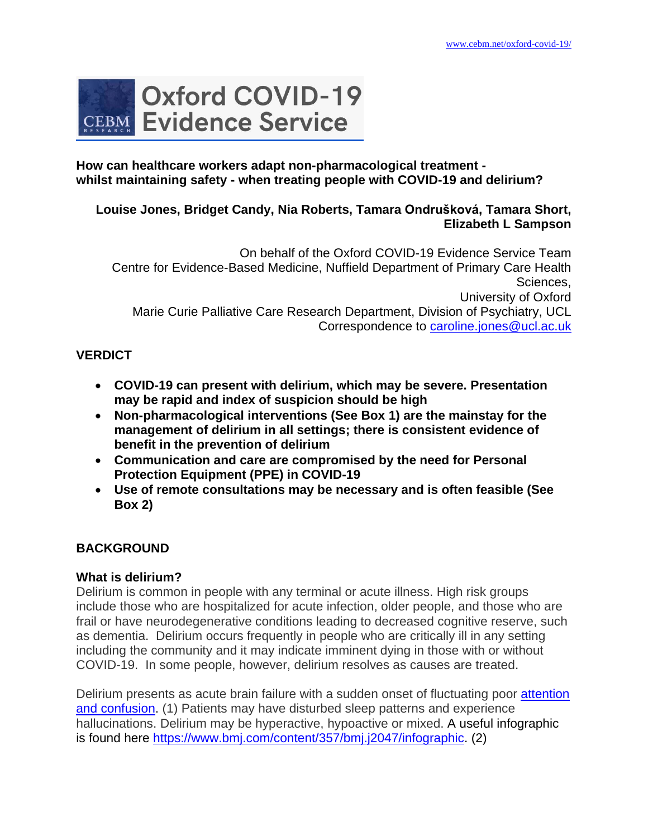

### **How can healthcare workers adapt non-pharmacological treatment whilst maintaining safety - when treating people with COVID-19 and delirium?**

## **Louise Jones, Bridget Candy, Nia Roberts, Tamara Ondrušková, Tamara Short, Elizabeth L Sampson**

On behalf of the Oxford COVID-19 Evidence Service Team Centre for Evidence-Based Medicine, Nuffield Department of Primary Care Health Sciences, University of Oxford Marie Curie Palliative Care Research Department, Division of Psychiatry, UCL Correspondence to [caroline.jones@ucl.ac.uk](mailto:caroline.jones@ucl.ac.uk)

# **VERDICT**

- **COVID-19 can present with delirium, which may be severe. Presentation may be rapid and index of suspicion should be high**
- **Non-pharmacological interventions (See Box 1) are the mainstay for the management of delirium in all settings; there is consistent evidence of benefit in the prevention of delirium**
- **Communication and care are compromised by the need for Personal Protection Equipment (PPE) in COVID-19**
- **Use of remote consultations may be necessary and is often feasible (See Box 2)**

# **BACKGROUND**

# **What is delirium?**

Delirium is common in people with any terminal or acute illness. High risk groups include those who are hospitalized for acute infection, older people, and those who are frail or have neurodegenerative conditions leading to decreased cognitive reserve, such as dementia. Delirium occurs frequently in people who are critically ill in any setting including the community and it may indicate imminent dying in those with or without COVID-19. In some people, however, delirium resolves as causes are treated.

Delirium presents as acute brain failure with a sudden onset of fluctuating poor attention [and confusion.](https://www.ncbi.nlm.nih.gov/pubmed/29278283) (1) Patients may have disturbed sleep patterns and experience hallucinations. Delirium may be hyperactive, hypoactive or mixed. A useful infographic is found here [https://www.bmj.com/content/357/bmj.j2047/infographic.](https://www.bmj.com/content/357/bmj.j2047/infographic) (2)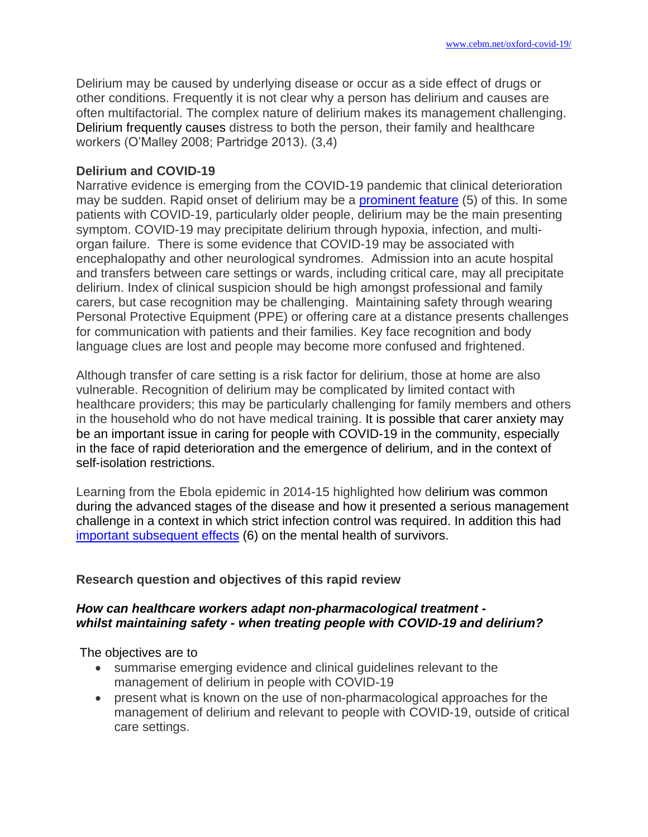Delirium may be caused by underlying disease or occur as a side effect of drugs or other conditions. Frequently it is not clear why a person has delirium and causes are often multifactorial. The complex nature of delirium makes its management challenging. Delirium frequently causes distress to both the person, their family and healthcare workers (O'Malley 2008; Partridge 2013). (3,4)

## **Delirium and COVID-19**

Narrative evidence is emerging from the COVID-19 pandemic that clinical deterioration may be sudden. Rapid onset of delirium may be a [prominent feature](https://onlinelibrary.wiley.com/doi/epdf/10.1111/jgs.16480) (5) of this. In some patients with COVID-19, particularly older people, delirium may be the main presenting symptom. COVID-19 may precipitate delirium through hypoxia, infection, and multiorgan failure. There is some evidence that COVID-19 may be associated with encephalopathy and other neurological syndromes. Admission into an acute hospital and transfers between care settings or wards, including critical care, may all precipitate delirium. Index of clinical suspicion should be high amongst professional and family carers, but case recognition may be challenging. Maintaining safety through wearing Personal Protective Equipment (PPE) or offering care at a distance presents challenges for communication with patients and their families. Key face recognition and body language clues are lost and people may become more confused and frightened.

Although transfer of care setting is a risk factor for delirium, those at home are also vulnerable. Recognition of delirium may be complicated by limited contact with healthcare providers; this may be particularly challenging for family members and others in the household who do not have medical training. It is possible that carer anxiety may be an important issue in caring for people with COVID-19 in the community, especially in the face of rapid deterioration and the emergence of delirium, and in the context of self-isolation restrictions.

Learning from the Ebola epidemic in 2014-15 highlighted how delirium was common during the advanced stages of the disease and how it presented a serious management challenge in a context in which strict infection control was required. In addition this had [important subsequent effects](https://www.thelancet.com/pdfs/journals/lanpsy/PIIS2215-0366(15)00451-4.pdf) (6) on the mental health of survivors.

## **Research question and objectives of this rapid review**

## *How can healthcare workers adapt non-pharmacological treatment whilst maintaining safety - when treating people with COVID-19 and delirium?*

The objectives are to

- summarise emerging evidence and clinical guidelines relevant to the management of delirium in people with COVID-19
- present what is known on the use of non-pharmacological approaches for the management of delirium and relevant to people with COVID-19, outside of critical care settings.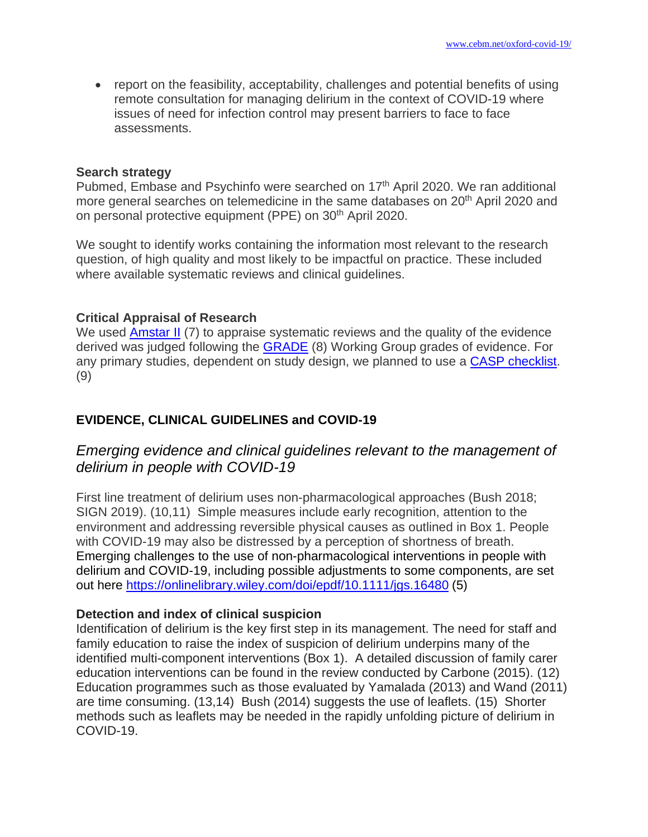• report on the feasibility, acceptability, challenges and potential benefits of using remote consultation for managing delirium in the context of COVID-19 where issues of need for infection control may present barriers to face to face assessments.

#### **Search strategy**

Pubmed, Embase and Psychinfo were searched on 17<sup>th</sup> April 2020. We ran additional more general searches on telemedicine in the same databases on 20<sup>th</sup> April 2020 and on personal protective equipment (PPE) on 30<sup>th</sup> April 2020.

We sought to identify works containing the information most relevant to the research question, of high quality and most likely to be impactful on practice. These included where available systematic reviews and clinical guidelines.

#### **Critical Appraisal of Research**

We used [Amstar II](https://amstar.ca/Amstar-2.php) (7) to appraise systematic reviews and the quality of the evidence derived was judged following the [GRADE](https://www.gradeworkinggroup.org/) (8) Working Group grades of evidence. For any primary studies, dependent on study design, we planned to use a [CASP checklist.](https://casp-uk.net/casp-tools-checklists/) (9)

## **EVIDENCE, CLINICAL GUIDELINES and COVID-19**

# *Emerging evidence and clinical guidelines relevant to the management of delirium in people with COVID-19*

First line treatment of delirium uses non-pharmacological approaches (Bush 2018; SIGN 2019). (10,11) Simple measures include early recognition, attention to the environment and addressing reversible physical causes as outlined in Box 1. People with COVID-19 may also be distressed by a perception of shortness of breath. Emerging challenges to the use of non-pharmacological interventions in people with delirium and COVID-19, including possible adjustments to some components, are set out here<https://onlinelibrary.wiley.com/doi/epdf/10.1111/jgs.16480> (5)

#### **Detection and index of clinical suspicion**

Identification of delirium is the key first step in its management. The need for staff and family education to raise the index of suspicion of delirium underpins many of the identified multi-component interventions (Box 1). A detailed discussion of family carer education interventions can be found in the review conducted by Carbone (2015). (12) Education programmes such as those evaluated by Yamalada (2013) and Wand (2011) are time consuming. (13,14) Bush (2014) suggests the use of leaflets. (15) Shorter methods such as leaflets may be needed in the rapidly unfolding picture of delirium in COVID-19.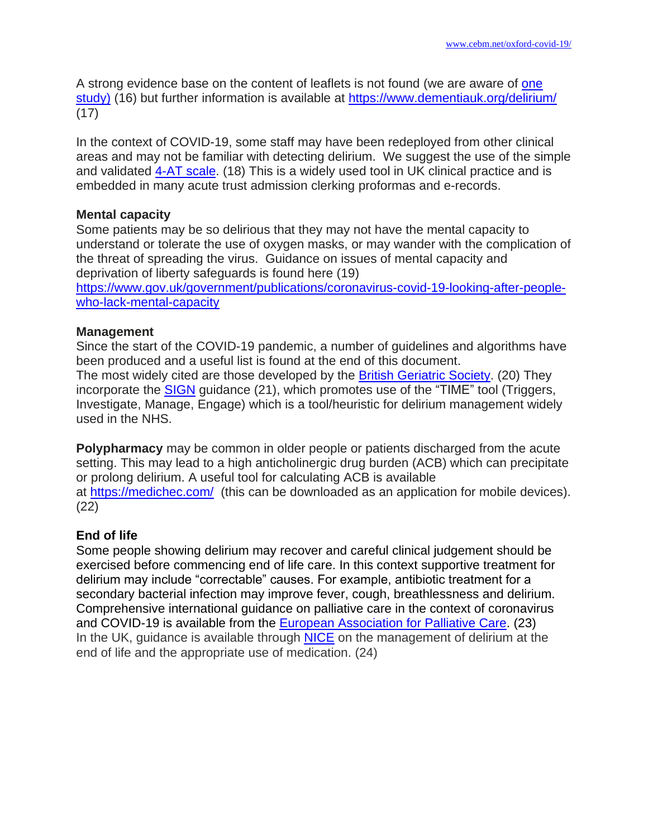A strong evidence base on the content of leaflets is not found (we are aware of [one](https://www.ncbi.nlm.nih.gov/pubmed/23616273)  [study\)](https://www.ncbi.nlm.nih.gov/pubmed/23616273) (16) but further information is available at<https://www.dementiauk.org/delirium/> (17)

In the context of COVID-19, some staff may have been redeployed from other clinical areas and may not be familiar with detecting delirium. We suggest the use of the simple and validated 4-AT [scale.](https://www.the4at.com/) (18) This is a widely used tool in UK clinical practice and is embedded in many acute trust admission clerking proformas and e-records.

#### **Mental capacity**

Some patients may be so delirious that they may not have the mental capacity to understand or tolerate the use of oxygen masks, or may wander with the complication of the threat of spreading the virus. Guidance on issues of mental capacity and deprivation of liberty safeguards is found here (19)

[https://www.gov.uk/government/publications/coronavirus-covid-19-looking-after-people](https://www.gov.uk/government/publications/coronavirus-covid-19-looking-after-people-who-lack-mental-capacity)[who-lack-mental-capacity](https://www.gov.uk/government/publications/coronavirus-covid-19-looking-after-people-who-lack-mental-capacity)

#### **Management**

Since the start of the COVID-19 pandemic, a number of guidelines and algorithms have been produced and a useful list is found at the end of this document.

The most widely cited are those developed by the British [Geriatric](https://www.bgs.org.uk/resources/coronavirus-managing-delirium-in-confirmed-and-suspected-cases) Society. (20) They incorporate the [SIGN](https://www.sign.ac.uk/sign-157-delirium) guidance (21), which promotes use of the "TIME" tool (Triggers, Investigate, Manage, Engage) which is a tool/heuristic for delirium management widely used in the NHS.

**Polypharmacy** may be common in older people or patients discharged from the acute setting. This may lead to a high anticholinergic drug burden (ACB) which can precipitate or prolong delirium. A useful tool for calculating ACB is available at <https://medichec.com/>(this can be downloaded as an application for mobile devices). (22)

## **End of life**

Some people showing delirium may recover and careful clinical judgement should be exercised before commencing end of life care. In this context supportive treatment for delirium may include "correctable" causes. For example, antibiotic treatment for a secondary bacterial infection may improve fever, cough, breathlessness and delirium. Comprehensive international guidance on palliative care in the context of coronavirus and COVID-19 is available from the [European Association for Palliative Care.](https://www.eapcnet.eu/publications/coronavirus-and-the-palliative-care-response) (23) In the UK, guidance is available through [NICE](https://cks.nice.org.uk/delirium) on the management of delirium at the end of life and the appropriate use of medication. (24)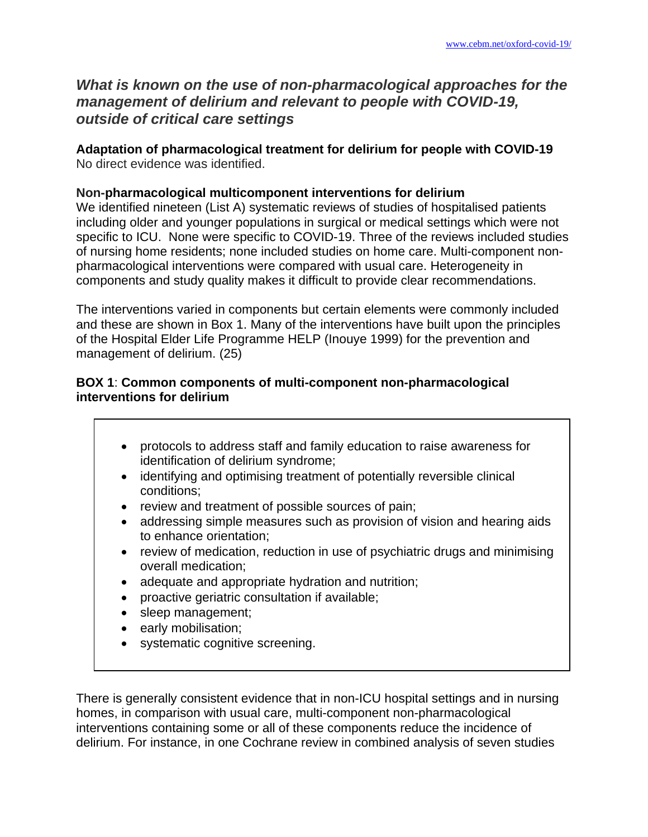# *What is known on the use of non-pharmacological approaches for the management of delirium and relevant to people with COVID-19, outside of critical care settings*

**Adaptation of pharmacological treatment for delirium for people with COVID-19**  No direct evidence was identified.

## **Non-pharmacological multicomponent interventions for delirium**

We identified nineteen (List A) systematic reviews of studies of hospitalised patients including older and younger populations in surgical or medical settings which were not specific to ICU. None were specific to COVID-19. Three of the reviews included studies of nursing home residents; none included studies on home care. Multi-component nonpharmacological interventions were compared with usual care. Heterogeneity in components and study quality makes it difficult to provide clear recommendations.

The interventions varied in components but certain elements were commonly included and these are shown in Box 1. Many of the interventions have built upon the principles of the Hospital Elder Life Programme HELP (Inouye 1999) for the prevention and management of delirium. (25)

## **BOX 1**: **Common components of multi-component non-pharmacological interventions for delirium**

- protocols to address staff and family education to raise awareness for identification of delirium syndrome;
- identifying and optimising treatment of potentially reversible clinical conditions;
- review and treatment of possible sources of pain;
- addressing simple measures such as provision of vision and hearing aids to enhance orientation;
- review of medication, reduction in use of psychiatric drugs and minimising overall medication;
- adequate and appropriate hydration and nutrition;
- proactive geriatric consultation if available;
- sleep management;
- early mobilisation;
- systematic cognitive screening.

There is generally consistent evidence that in non-ICU hospital settings and in nursing homes, in comparison with usual care, multi-component non-pharmacological interventions containing some or all of these components reduce the incidence of delirium. For instance, in one Cochrane review in combined analysis of seven studies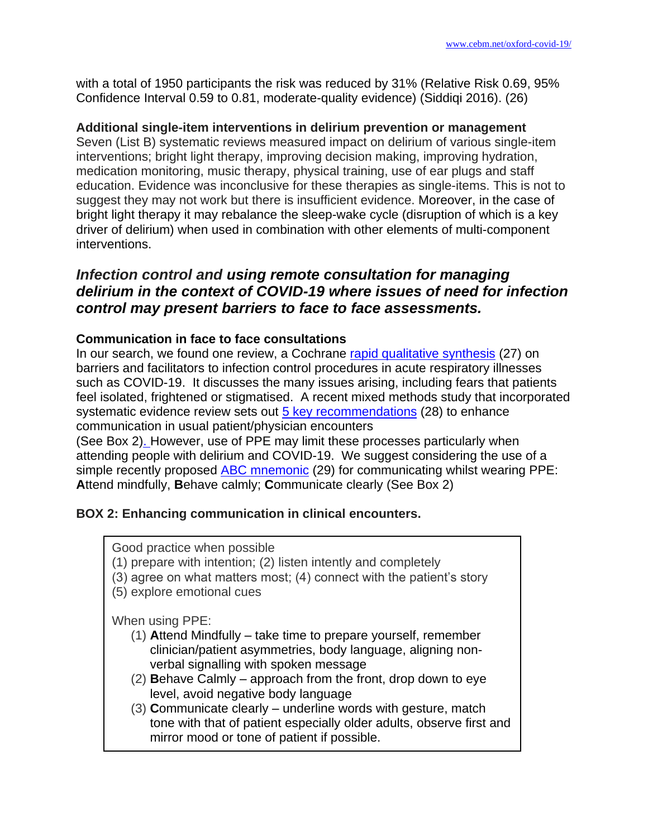with a total of 1950 participants the risk was reduced by 31% (Relative Risk 0.69, 95% Confidence Interval 0.59 to 0.81, moderate-quality evidence) (Siddiqi 2016). (26)

#### **Additional single-item interventions in delirium prevention or management**

Seven (List B) systematic reviews measured impact on delirium of various single-item interventions; bright light therapy, improving decision making, improving hydration, medication monitoring, music therapy, physical training, use of ear plugs and staff education. Evidence was inconclusive for these therapies as single-items. This is not to suggest they may not work but there is insufficient evidence. Moreover, in the case of bright light therapy it may rebalance the sleep-wake cycle (disruption of which is a key driver of delirium) when used in combination with other elements of multi-component interventions.

# *Infection control and using remote consultation for managing delirium in the context of COVID-19 where issues of need for infection control may present barriers to face to face assessments.*

#### **Communication in face to face consultations**

In our search, we found one review, a Cochrane [rapid qualitative synthesis](https://www.ncbi.nlm.nih.gov/pubmed/32315451) (27) on barriers and facilitators to infection control procedures in acute respiratory illnesses such as COVID-19. It discusses the many issues arising, including fears that patients feel isolated, frightened or stigmatised. A recent mixed methods study that incorporated systematic evidence review sets out  $5$  key recommendations (28) to enhance communication in usual patient/physician encounters

(See Box 2). However, use of PPE may limit these processes particularly when attending people with delirium and COVID-19. We suggest considering the use of a simple recently proposed **ABC** mnemonic (29) for communicating whilst wearing PPE: **A**ttend mindfully, **B**ehave calmly; **C**ommunicate clearly (See Box 2)

## **BOX 2: Enhancing communication in clinical encounters.**

Good practice when possible

- (1) prepare with intention; (2) listen intently and completely
- (3) agree on what matters most; (4) connect with the patient's story
- (5) explore emotional cues

When using PPE:

- (1) **A**ttend Mindfully take time to prepare yourself, remember clinician/patient asymmetries, body language, aligning nonverbal signalling with spoken message
- (2) **B**ehave Calmly approach from the front, drop down to eye level, avoid negative body language
- (3) **C**ommunicate clearly underline words with gesture, match tone with that of patient especially older adults, observe first and mirror mood or tone of patient if possible.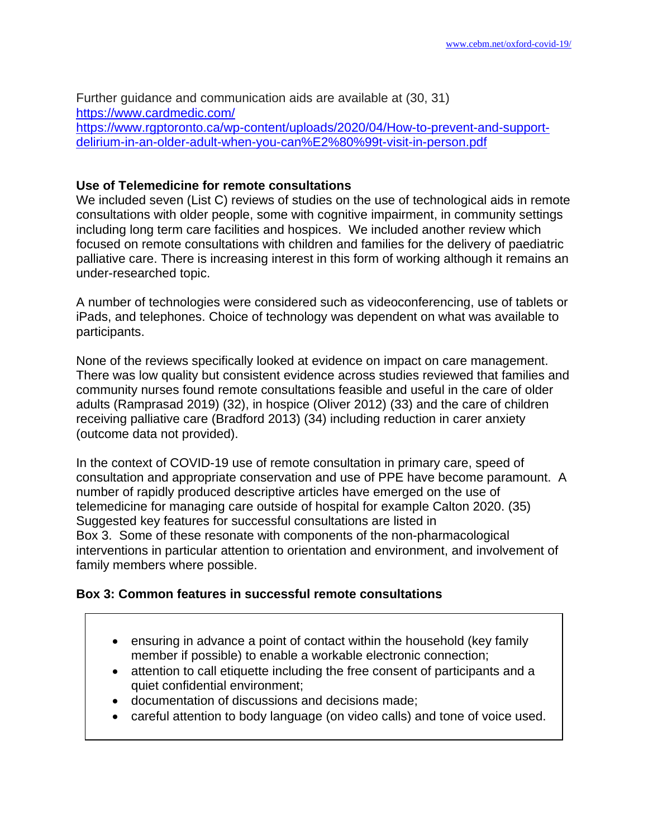Further guidance and communication aids are available at (30, 31) <https://www.cardmedic.com/> [https://www.rgptoronto.ca/wp-content/uploads/2020/04/How-to-prevent-and-support](https://www.rgptoronto.ca/wp-content/uploads/2020/04/How-to-prevent-and-support-delirium-in-an-older-adult-when-you-can%E2%80%99t-visit-in-person.pdf)[delirium-in-an-older-adult-when-you-can%E2%80%99t-visit-in-person.pdf](https://www.rgptoronto.ca/wp-content/uploads/2020/04/How-to-prevent-and-support-delirium-in-an-older-adult-when-you-can%E2%80%99t-visit-in-person.pdf)

#### **Use of Telemedicine for remote consultations**

We included seven (List C) reviews of studies on the use of technological aids in remote consultations with older people, some with cognitive impairment, in community settings including long term care facilities and hospices. We included another review which focused on remote consultations with children and families for the delivery of paediatric palliative care. There is increasing interest in this form of working although it remains an under-researched topic.

A number of technologies were considered such as videoconferencing, use of tablets or iPads, and telephones. Choice of technology was dependent on what was available to participants.

None of the reviews specifically looked at evidence on impact on care management. There was low quality but consistent evidence across studies reviewed that families and community nurses found remote consultations feasible and useful in the care of older adults (Ramprasad 2019) (32), in hospice (Oliver 2012) (33) and the care of children receiving palliative care (Bradford 2013) (34) including reduction in carer anxiety (outcome data not provided).

In the context of COVID-19 use of remote consultation in primary care, speed of consultation and appropriate conservation and use of PPE have become paramount. A number of rapidly produced descriptive articles have emerged on the use of telemedicine for managing care outside of hospital for example Calton 2020. (35) Suggested key features for successful consultations are listed in Box 3. Some of these resonate with components of the non-pharmacological interventions in particular attention to orientation and environment, and involvement of family members where possible.

#### **Box 3: Common features in successful remote consultations**

- ensuring in advance a point of contact within the household (key family member if possible) to enable a workable electronic connection;
- attention to call etiquette including the free consent of participants and a quiet confidential environment;
- documentation of discussions and decisions made;
- careful attention to body language (on video calls) and tone of voice used.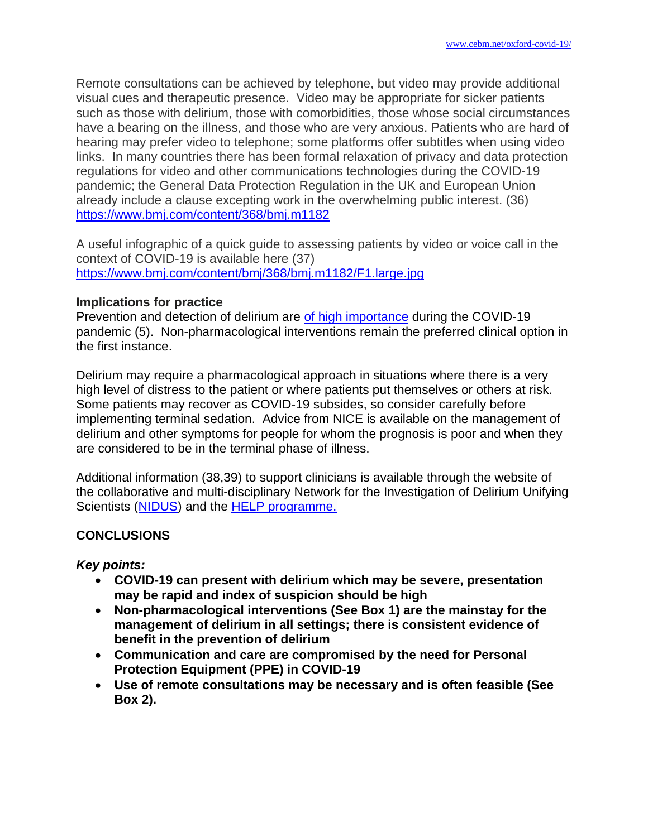Remote consultations can be achieved by telephone, but video may provide additional visual cues and therapeutic presence. Video may be appropriate for sicker patients such as those with delirium, those with comorbidities, those whose social circumstances have a bearing on the illness, and those who are very anxious. Patients who are hard of hearing may prefer video to telephone; some platforms offer subtitles when using video links. In many countries there has been formal relaxation of privacy and data protection regulations for video and other communications technologies during the COVID-19 pandemic; the General Data Protection Regulation in the UK and European Union already include a clause excepting work in the overwhelming public interest. (36) <https://www.bmj.com/content/368/bmj.m1182>

A useful infographic of a quick guide to assessing patients by video or voice call in the context of COVID-19 is available here (37) <https://www.bmj.com/content/bmj/368/bmj.m1182/F1.large.jpg>

#### **Implications for practice**

Prevention and detection of delirium are [of high importance](https://onlinelibrary.wiley.com/doi/abs/10.1111/jgs.16480) during the COVID-19 pandemic (5). Non-pharmacological interventions remain the preferred clinical option in the first instance.

Delirium may require a pharmacological approach in situations where there is a very high level of distress to the patient or where patients put themselves or others at risk. Some patients may recover as COVID-19 subsides, so consider carefully before implementing terminal sedation. Advice from NICE is available on the management of delirium and other symptoms for people for whom the prognosis is poor and when they are considered to be in the terminal phase of illness.

Additional information (38,39) to support clinicians is available through the website of the collaborative and multi-disciplinary Network for the Investigation of Delirium Unifying Scientists [\(NIDUS\)](https://deliriumnetwork.org/) and the [HELP programme.](https://www.hospitalelderlifeprogram.org/for-clinicians/covid19-resources)

## **CONCLUSIONS**

*Key points:*

- **COVID-19 can present with delirium which may be severe, presentation may be rapid and index of suspicion should be high**
- **Non-pharmacological interventions (See Box 1) are the mainstay for the management of delirium in all settings; there is consistent evidence of benefit in the prevention of delirium**
- **Communication and care are compromised by the need for Personal Protection Equipment (PPE) in COVID-19**
- **Use of remote consultations may be necessary and is often feasible (See Box 2).**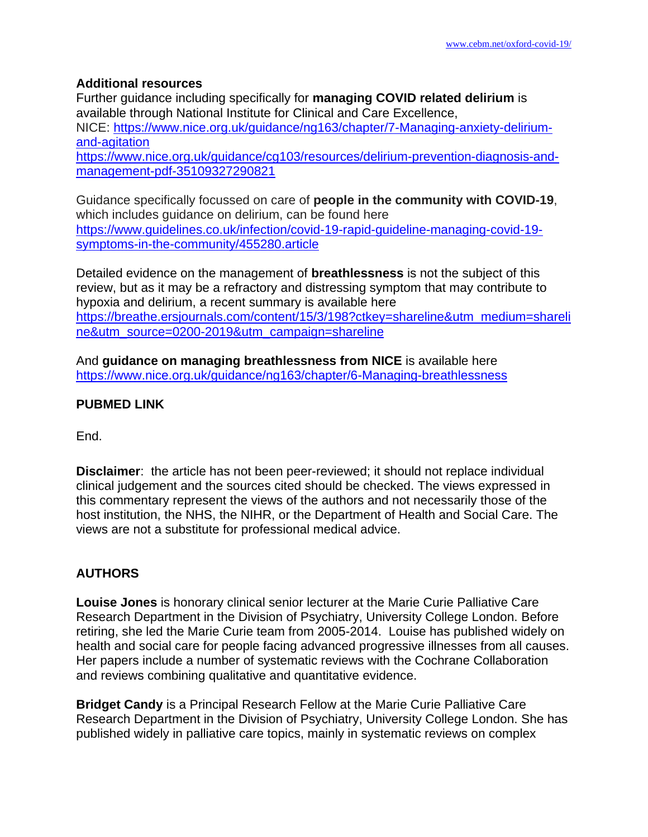## **Additional resources**

Further guidance including specifically for **managing COVID related delirium** is available through National Institute for Clinical and Care Excellence, NICE: [https://www.nice.org.uk/guidance/ng163/chapter/7-Managing-anxiety-delirium](https://www.nice.org.uk/guidance/ng163/chapter/7-Managing-anxiety-delirium-and-agitation)[and-agitation](https://www.nice.org.uk/guidance/ng163/chapter/7-Managing-anxiety-delirium-and-agitation) [https://www.nice.org.uk/guidance/cg103/resources/delirium-prevention-diagnosis-and](https://www.nice.org.uk/guidance/cg103/resources/delirium-prevention-diagnosis-and-management-pdf-35109327290821)[management-pdf-35109327290821](https://www.nice.org.uk/guidance/cg103/resources/delirium-prevention-diagnosis-and-management-pdf-35109327290821)

Guidance specifically focussed on care of **people in the community with COVID-19**, which includes guidance on delirium, can be found here [https://www.guidelines.co.uk/infection/covid-19-rapid-guideline-managing-covid-19](https://www.guidelines.co.uk/infection/covid-19-rapid-guideline-managing-covid-19-symptoms-in-the-community/455280.article) [symptoms-in-the-community/455280.article](https://www.guidelines.co.uk/infection/covid-19-rapid-guideline-managing-covid-19-symptoms-in-the-community/455280.article)

Detailed evidence on the management of **breathlessness** is not the subject of this review, but as it may be a refractory and distressing symptom that may contribute to hypoxia and delirium, a recent summary is available here [https://breathe.ersjournals.com/content/15/3/198?ctkey=shareline&utm\\_medium=shareli](https://breathe.ersjournals.com/content/15/3/198?ctkey=shareline&utm_medium=shareline&utm_source=0200-2019&utm_campaign=shareline) [ne&utm\\_source=0200-2019&utm\\_campaign=shareline](https://breathe.ersjournals.com/content/15/3/198?ctkey=shareline&utm_medium=shareline&utm_source=0200-2019&utm_campaign=shareline)

And **guidance on managing breathlessness from NICE** is available here <https://www.nice.org.uk/guidance/ng163/chapter/6-Managing-breathlessness>

## **PUBMED LINK**

End.

**Disclaimer**: the article has not been peer-reviewed; it should not replace individual clinical judgement and the sources cited should be checked. The views expressed in this commentary represent the views of the authors and not necessarily those of the host institution, the NHS, the NIHR, or the Department of Health and Social Care. The views are not a substitute for professional medical advice.

# **AUTHORS**

**Louise Jones** is honorary clinical senior lecturer at the Marie Curie Palliative Care Research Department in the Division of Psychiatry, University College London. Before retiring, she led the Marie Curie team from 2005-2014. Louise has published widely on health and social care for people facing advanced progressive illnesses from all causes. Her papers include a number of systematic reviews with the Cochrane Collaboration and reviews combining qualitative and quantitative evidence.

**Bridget Candy** is a Principal Research Fellow at the Marie Curie Palliative Care Research Department in the Division of Psychiatry, University College London. She has published widely in palliative care topics, mainly in systematic reviews on complex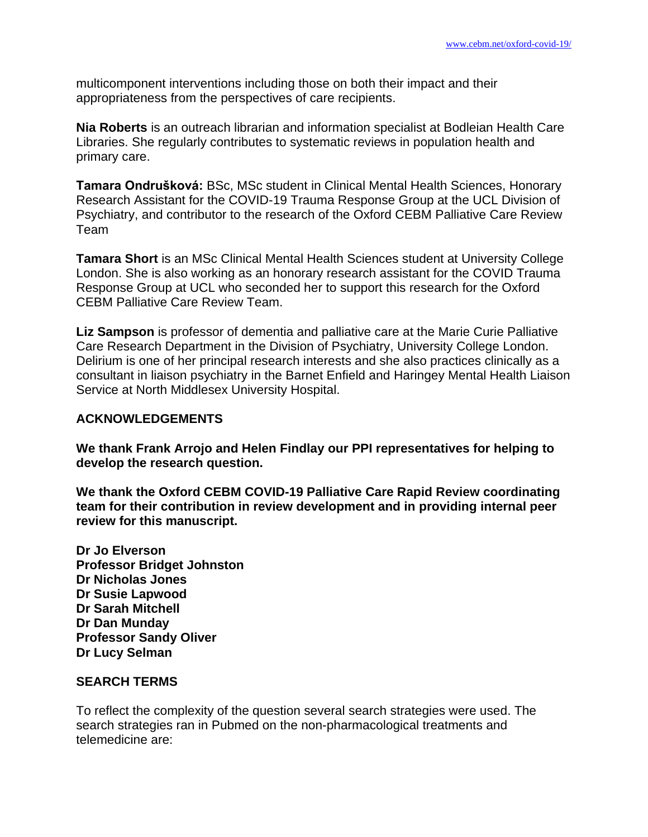multicomponent interventions including those on both their impact and their appropriateness from the perspectives of care recipients.

**Nia Roberts** is an outreach librarian and information specialist at Bodleian Health Care Libraries. She regularly contributes to systematic reviews in population health and primary care.

**Tamara Ondrušková:** BSc, MSc student in Clinical Mental Health Sciences, Honorary Research Assistant for the COVID-19 Trauma Response Group at the UCL Division of Psychiatry, and contributor to the research of the Oxford CEBM Palliative Care Review Team

**Tamara Short** is an MSc Clinical Mental Health Sciences student at University College London. She is also working as an honorary research assistant for the COVID Trauma Response Group at UCL who seconded her to support this research for the Oxford CEBM Palliative Care Review Team.

**Liz Sampson** is professor of dementia and palliative care at the Marie Curie Palliative Care Research Department in the Division of Psychiatry, University College London. Delirium is one of her principal research interests and she also practices clinically as a consultant in liaison psychiatry in the Barnet Enfield and Haringey Mental Health Liaison Service at North Middlesex University Hospital.

#### **ACKNOWLEDGEMENTS**

**We thank Frank Arrojo and Helen Findlay our PPI representatives for helping to develop the research question.**

**We thank the Oxford CEBM COVID-19 Palliative Care Rapid Review coordinating team for their contribution in review development and in providing internal peer review for this manuscript.**

**Dr Jo Elverson Professor Bridget Johnston Dr Nicholas Jones Dr Susie Lapwood Dr Sarah Mitchell Dr Dan Munday Professor Sandy Oliver Dr Lucy Selman**

#### **SEARCH TERMS**

To reflect the complexity of the question several search strategies were used. The search strategies ran in Pubmed on the non-pharmacological treatments and telemedicine are: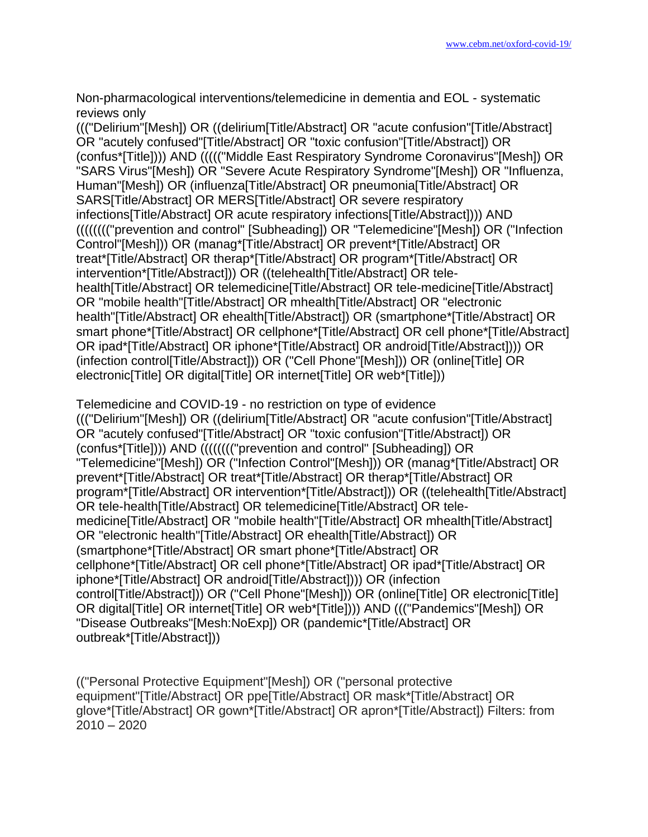Non-pharmacological interventions/telemedicine in dementia and EOL - systematic reviews only

((("Delirium"[Mesh]) OR ((delirium[Title/Abstract] OR "acute confusion"[Title/Abstract] OR "acutely confused"[Title/Abstract] OR "toxic confusion"[Title/Abstract]) OR (confus\*[Title]))) AND ((((("Middle East Respiratory Syndrome Coronavirus"[Mesh]) OR "SARS Virus"[Mesh]) OR "Severe Acute Respiratory Syndrome"[Mesh]) OR "Influenza, Human"[Mesh]) OR (influenza[Title/Abstract] OR pneumonia[Title/Abstract] OR SARS[Title/Abstract] OR MERS[Title/Abstract] OR severe respiratory infections[Title/Abstract] OR acute respiratory infections[Title/Abstract]))) AND (((((((("prevention and control" [Subheading]) OR "Telemedicine"[Mesh]) OR ("Infection Control"[Mesh])) OR (manag\*[Title/Abstract] OR prevent\*[Title/Abstract] OR treat\*[Title/Abstract] OR therap\*[Title/Abstract] OR program\*[Title/Abstract] OR intervention\*[Title/Abstract])) OR ((telehealth[Title/Abstract] OR telehealth[Title/Abstract] OR telemedicine[Title/Abstract] OR tele-medicine[Title/Abstract] OR "mobile health"[Title/Abstract] OR mhealth[Title/Abstract] OR "electronic health"[Title/Abstract] OR ehealth[Title/Abstract]) OR (smartphone\*[Title/Abstract] OR smart phone\*[Title/Abstract] OR cellphone\*[Title/Abstract] OR cell phone\*[Title/Abstract] OR ipad\*[Title/Abstract] OR iphone\*[Title/Abstract] OR android[Title/Abstract]))) OR (infection control[Title/Abstract])) OR ("Cell Phone"[Mesh])) OR (online[Title] OR electronic[Title] OR digital[Title] OR internet[Title] OR web\*[Title]))

Telemedicine and COVID-19 - no restriction on type of evidence ((("Delirium"[Mesh]) OR ((delirium[Title/Abstract] OR "acute confusion"[Title/Abstract] OR "acutely confused"[Title/Abstract] OR "toxic confusion"[Title/Abstract]) OR (confus\*[Title]))) AND (((((((("prevention and control" [Subheading]) OR "Telemedicine"[Mesh]) OR ("Infection Control"[Mesh])) OR (manag\*[Title/Abstract] OR prevent\*[Title/Abstract] OR treat\*[Title/Abstract] OR therap\*[Title/Abstract] OR program\*[Title/Abstract] OR intervention\*[Title/Abstract])) OR ((telehealth[Title/Abstract] OR tele-health[Title/Abstract] OR telemedicine[Title/Abstract] OR telemedicine[Title/Abstract] OR "mobile health"[Title/Abstract] OR mhealth[Title/Abstract] OR "electronic health"[Title/Abstract] OR ehealth[Title/Abstract]) OR (smartphone\*[Title/Abstract] OR smart phone\*[Title/Abstract] OR cellphone\*[Title/Abstract] OR cell phone\*[Title/Abstract] OR ipad\*[Title/Abstract] OR iphone\*[Title/Abstract] OR android[Title/Abstract]))) OR (infection control[Title/Abstract])) OR ("Cell Phone"[Mesh])) OR (online[Title] OR electronic[Title] OR digital[Title] OR internet[Title] OR web\*[Title]))) AND ((("Pandemics"[Mesh]) OR "Disease Outbreaks"[Mesh:NoExp]) OR (pandemic\*[Title/Abstract] OR outbreak\*[Title/Abstract]))

(("Personal Protective Equipment"[Mesh]) OR ("personal protective equipment"[Title/Abstract] OR ppe[Title/Abstract] OR mask\*[Title/Abstract] OR glove\*[Title/Abstract] OR gown\*[Title/Abstract] OR apron\*[Title/Abstract]) Filters: from 2010 – 2020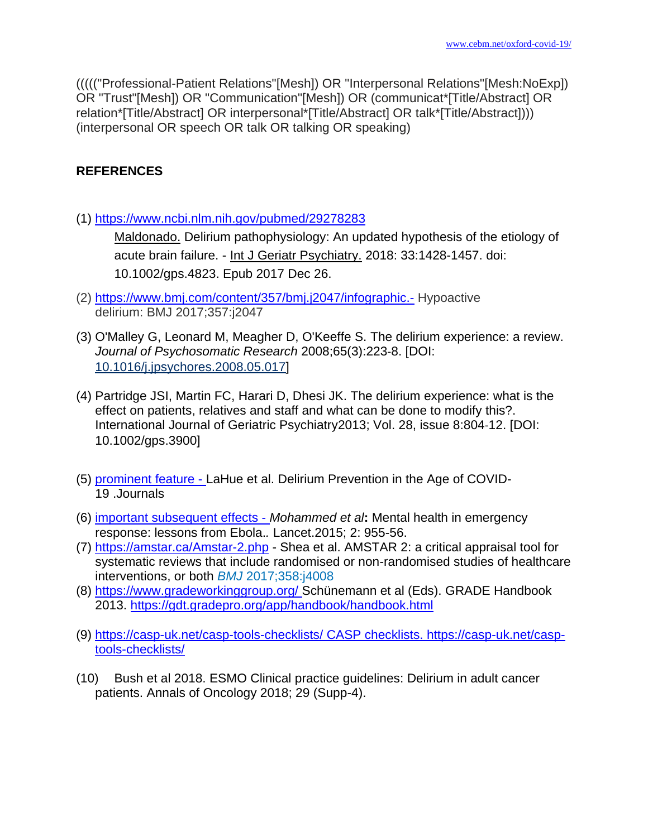((((("Professional-Patient Relations"[Mesh]) OR "Interpersonal Relations"[Mesh:NoExp]) OR "Trust"[Mesh]) OR "Communication"[Mesh]) OR (communicat\*[Title/Abstract] OR relation\*[Title/Abstract] OR interpersonal\*[Title/Abstract] OR talk\*[Title/Abstract]))) (interpersonal OR speech OR talk OR talking OR speaking)

## **REFERENCES**

(1) <https://www.ncbi.nlm.nih.gov/pubmed/29278283>

[Maldonado.](https://www.ncbi.nlm.nih.gov/pubmed/?term=Maldonado%20JR%5BAuthor%5D&cauthor=true&cauthor_uid=29278283) Delirium pathophysiology: An updated hypothesis of the etiology of acute brain failure. - [Int J Geriatr Psychiatry.](https://www.ncbi.nlm.nih.gov/pubmed/29278283) 2018: 33:1428-1457. doi: 10.1002/gps.4823. Epub 2017 Dec 26.

- (2) <https://www.bmj.com/content/357/bmj.j2047/infographic.-> Hypoactive delirium: BMJ 2017;357:j2047
- (3) O'Malley G, Leonard M, Meagher D, O'Keeffe S. The delirium experience: a review. *Journal of Psychosomatic Research* 2008;65(3):223‐8. [DOI: [10.1016/j.jpsychores.2008.05.017\]](http://dx.doi.org/10.1016/j.jpsychores.2008.05.017)
- (4) Partridge JSI, Martin FC, Harari D, Dhesi JK. The delirium experience: what is the effect on patients, relatives and staff and what can be done to modify this?. International Journal of Geriatric Psychiatry2013; Vol. 28, issue 8:804‐12. [DOI: 10.1002/gps.3900]
- (5) [prominent feature](https://onlinelibrary.wiley.com/doi/epdf/10.1111/jgs.16480) LaHue et al. Delirium Prevention in the Age of COVID-19 .Journals
- (6) [important subsequent effects](https://www.thelancet.com/pdfs/journals/lanpsy/PIIS2215-0366(15)00451-4.pdf) *Mohammed et al***:** Mental health in emergency response: lessons from Ebola.*.* Lancet.2015; 2: 955-56.
- (7) <https://amstar.ca/Amstar-2.php> Shea et al. AMSTAR 2: a critical appraisal tool for systematic reviews that include randomised or non-randomised studies of healthcare interventions, or both *BMJ* 2017;358:j4008
- (8) <https://www.gradeworkinggroup.org/> Schünemann et al (Eds). GRADE Handbook 2013.<https://gdt.gradepro.org/app/handbook/handbook.html>
- (9) <https://casp-uk.net/casp-tools-checklists/> CASP checklists. https://casp-uk.net/casptools-checklists/
- (10) Bush et al 2018. ESMO Clinical practice guidelines: Delirium in adult cancer patients. Annals of Oncology 2018; 29 (Supp-4).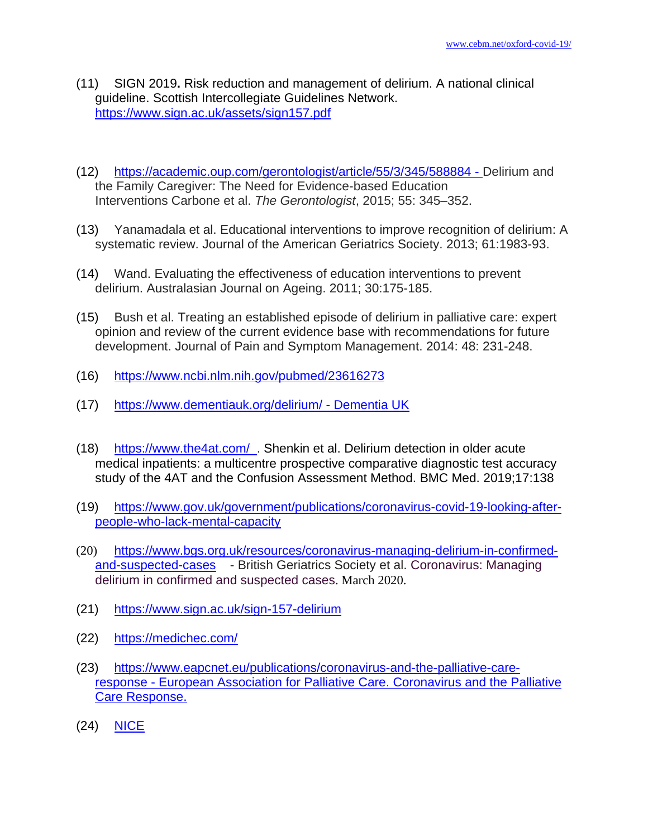- (11) SIGN 2019**.** Risk reduction and management of delirium. A national clinical guideline. Scottish Intercollegiate Guidelines Network. <https://www.sign.ac.uk/assets/sign157.pdf>
- (12) <https://academic.oup.com/gerontologist/article/55/3/345/588884> Delirium and the Family Caregiver: The Need for Evidence-based Education Interventions Carbone et al. *The Gerontologist*, 2015; 55: 345–352.
- (13) Yanamadala et al. Educational interventions to improve recognition of delirium: A systematic review. Journal of the American Geriatrics Society. 2013; 61:1983-93.
- (14) Wand. Evaluating the effectiveness of education interventions to prevent delirium. Australasian Journal on Ageing. 2011; 30:175-185.
- (15) Bush et al. Treating an established episode of delirium in palliative care: expert opinion and review of the current evidence base with recommendations for future development. Journal of Pain and Symptom Management. 2014: 48: 231-248.
- (16) <https://www.ncbi.nlm.nih.gov/pubmed/23616273>
- (17) <https://www.dementiauk.org/delirium/> Dementia UK
- (18) <https://www.the4at.com/>. Shenkin et al. [Delirium detection in older acute](https://bmcmedicine.biomedcentral.com/articles/10.1186/s12916-019-1367-9)  [medical inpatients: a multicentre prospective comparative diagnostic test accuracy](https://bmcmedicine.biomedcentral.com/articles/10.1186/s12916-019-1367-9)  [study of the 4AT and the Confusion Assessment Method.](https://bmcmedicine.biomedcentral.com/articles/10.1186/s12916-019-1367-9) BMC Med. 2019;17:138
- (19) [https://www.gov.uk/government/publications/coronavirus-covid-19-looking-after](https://www.gov.uk/government/publications/coronavirus-covid-19-looking-after-people-who-lack-mental-capacity)[people-who-lack-mental-capacity](https://www.gov.uk/government/publications/coronavirus-covid-19-looking-after-people-who-lack-mental-capacity)
- (20) [https://www.bgs.org.uk/resources/coronavirus-managing-delirium-in-confirmed](https://www.bgs.org.uk/resources/coronavirus-managing-delirium-in-confirmed-and-suspected-cases)[and-suspected-cases](https://www.bgs.org.uk/resources/coronavirus-managing-delirium-in-confirmed-and-suspected-cases) - British Geriatrics Society et al. Coronavirus: Managing delirium in confirmed and suspected cases. March 2020.
- (21) <https://www.sign.ac.uk/sign-157-delirium>
- (22) <https://medichec.com/>
- (23) [https://www.eapcnet.eu/publications/coronavirus-and-the-palliative-care](https://www.eapcnet.eu/publications/coronavirus-and-the-palliative-care-response)[response](https://www.eapcnet.eu/publications/coronavirus-and-the-palliative-care-response) - European Association for Palliative Care. Coronavirus and the Palliative Care Response.
- (24) [NICE](https://cks.nice.org.uk/delirium)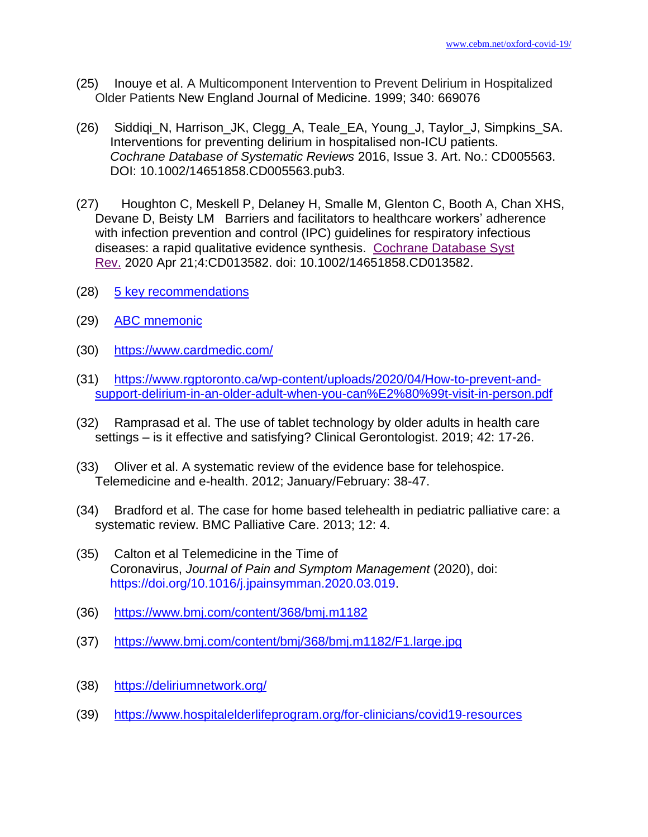- (25) Inouye et al. A Multicomponent Intervention to Prevent Delirium in Hospitalized Older Patients New England Journal of Medicine. 1999; 340: 669076
- (26) Siddiqi\_N, Harrison\_JK, Clegg\_A, Teale\_EA, Young\_J, Taylor\_J, Simpkins\_SA. Interventions for preventing delirium in hospitalised non-ICU patients. *Cochrane Database of Systematic Reviews* 2016, Issue 3. Art. No.: CD005563. DOI: 10.1002/14651858.CD005563.pub3.
- (27) Houghton C, Meskell P, Delaney H, Smalle M, Glenton C, Booth A, Chan XHS, Devane D, Beisty LM Barriers and facilitators to healthcare workers' adherence with infection prevention and control (IPC) guidelines for respiratory infectious diseases: a rapid qualitative evidence synthesis. [Cochrane Database Syst](https://www.ncbi.nlm.nih.gov/pubmed/32315451)  [Rev.](https://www.ncbi.nlm.nih.gov/pubmed/32315451) 2020 Apr 21;4:CD013582. doi: 10.1002/14651858.CD013582.
- (28) [5 key recommendations](https://jamanetwork.com/journals/jama/article-abstract/2758456)
- (29) [ABC mnemonic](https://onlinelibrary.wiley.com/doi/epdf/10.1111/jgs.16488)
- (30) <https://www.cardmedic.com/>
- (31) [https://www.rgptoronto.ca/wp-content/uploads/2020/04/How-to-prevent-and](https://www.rgptoronto.ca/wp-content/uploads/2020/04/How-to-prevent-and-support-delirium-in-an-older-adult-when-you-can%E2%80%99t-visit-in-person.pdf)[support-delirium-in-an-older-adult-when-you-can%E2%80%99t-visit-in-person.pdf](https://www.rgptoronto.ca/wp-content/uploads/2020/04/How-to-prevent-and-support-delirium-in-an-older-adult-when-you-can%E2%80%99t-visit-in-person.pdf)
- (32) Ramprasad et al. The use of tablet technology by older adults in health care settings – is it effective and satisfying? Clinical Gerontologist. 2019; 42: 17-26.
- (33) Oliver et al. A systematic review of the evidence base for telehospice. Telemedicine and e-health. 2012; January/February: 38-47.
- (34) Bradford et al. The case for home based telehealth in pediatric palliative care: a systematic review. BMC Palliative Care. 2013; 12: 4.
- (35) Calton et al Telemedicine in the Time of Coronavirus, *Journal of Pain and Symptom Management* (2020), doi: https://doi.org/10.1016/j.jpainsymman.2020.03.019.
- (36) <https://www.bmj.com/content/368/bmj.m1182>
- (37) <https://www.bmj.com/content/bmj/368/bmj.m1182/F1.large.jpg>
- (38) <https://deliriumnetwork.org/>
- (39) <https://www.hospitalelderlifeprogram.org/for-clinicians/covid19-resources>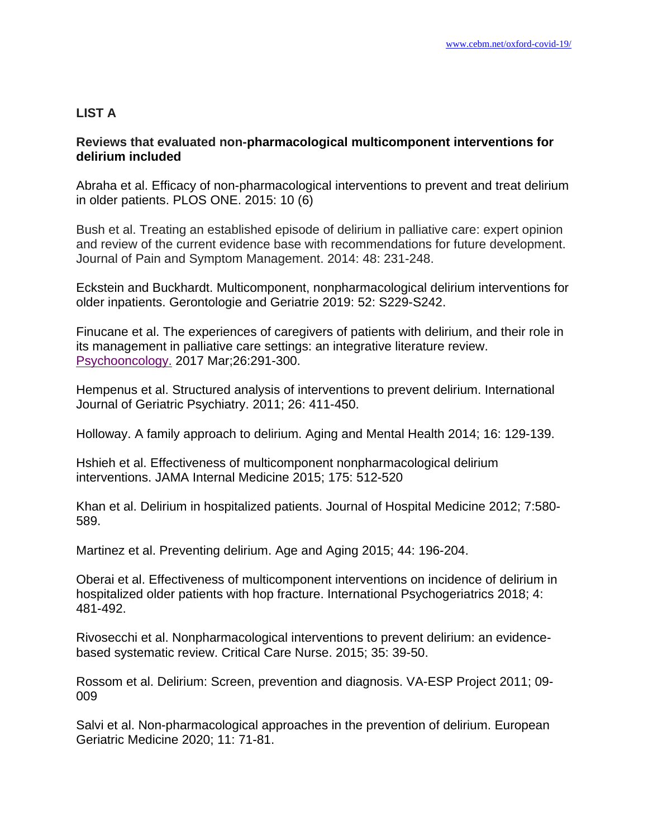# **LIST A**

## **Reviews that evaluated non-pharmacological multicomponent interventions for delirium included**

Abraha et al. Efficacy of non-pharmacological interventions to prevent and treat delirium in older patients. PLOS ONE. 2015: 10 (6)

Bush et al. Treating an established episode of delirium in palliative care: expert opinion and review of the current evidence base with recommendations for future development. Journal of Pain and Symptom Management. 2014: 48: 231-248.

Eckstein and Buckhardt. Multicomponent, nonpharmacological delirium interventions for older inpatients. Gerontologie and Geriatrie 2019: 52: S229-S242.

Finucane et al. The experiences of caregivers of patients with delirium, and their role in its management in palliative care settings: an integrative literature review. [Psychooncology.](https://www.ncbi.nlm.nih.gov/pubmed/27132588) 2017 Mar;26:291-300.

Hempenus et al. Structured analysis of interventions to prevent delirium. International Journal of Geriatric Psychiatry. 2011; 26: 411-450.

Holloway. A family approach to delirium. Aging and Mental Health 2014; 16: 129-139.

Hshieh et al. Effectiveness of multicomponent nonpharmacological delirium interventions. JAMA Internal Medicine 2015; 175: 512-520

Khan et al. Delirium in hospitalized patients. Journal of Hospital Medicine 2012; 7:580- 589.

Martinez et al. Preventing delirium. Age and Aging 2015; 44: 196-204.

Oberai et al. Effectiveness of multicomponent interventions on incidence of delirium in hospitalized older patients with hop fracture. International Psychogeriatrics 2018; 4: 481-492.

Rivosecchi et al. Nonpharmacological interventions to prevent delirium: an evidencebased systematic review. Critical Care Nurse. 2015; 35: 39-50.

Rossom et al. Delirium: Screen, prevention and diagnosis. VA-ESP Project 2011; 09- 009

Salvi et al. Non-pharmacological approaches in the prevention of delirium. European Geriatric Medicine 2020; 11: 71-81.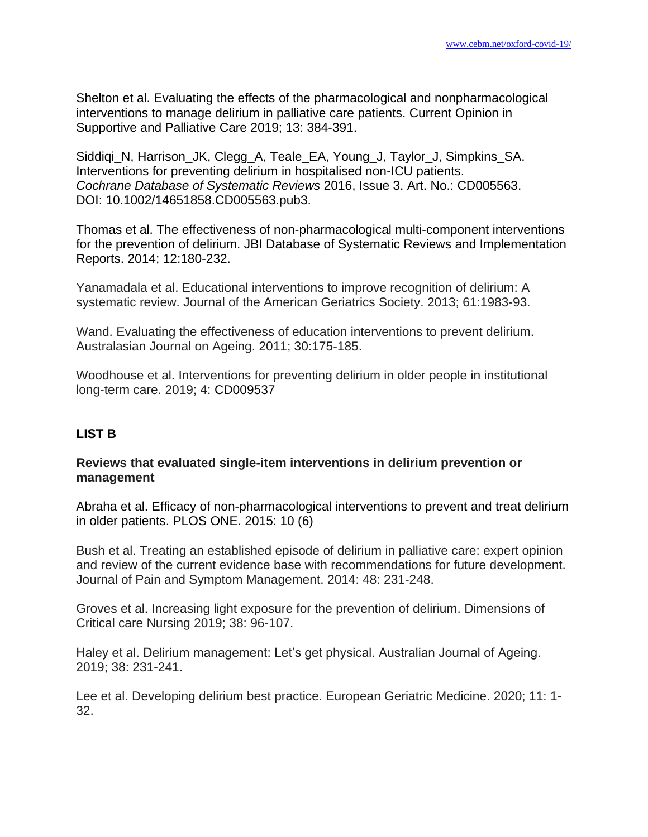Shelton et al. Evaluating the effects of the pharmacological and nonpharmacological interventions to manage delirium in palliative care patients. Current Opinion in Supportive and Palliative Care 2019; 13: 384-391.

Siddiqi\_N, Harrison\_JK, Clegg\_A, Teale\_EA, Young\_J, Taylor\_J, Simpkins\_SA. Interventions for preventing delirium in hospitalised non-ICU patients. *Cochrane Database of Systematic Reviews* 2016, Issue 3. Art. No.: CD005563. DOI: 10.1002/14651858.CD005563.pub3.

Thomas et al. The effectiveness of non-pharmacological multi-component interventions for the prevention of delirium. JBI Database of Systematic Reviews and Implementation Reports. 2014; 12:180-232.

Yanamadala et al. Educational interventions to improve recognition of delirium: A systematic review. Journal of the American Geriatrics Society. 2013; 61:1983-93.

Wand. Evaluating the effectiveness of education interventions to prevent delirium. Australasian Journal on Ageing. 2011; 30:175-185.

Woodhouse et al. Interventions for preventing delirium in older people in institutional long-term care. 2019; 4: CD009537

# **LIST B**

## **Reviews that evaluated single-item interventions in delirium prevention or management**

Abraha et al. Efficacy of non-pharmacological interventions to prevent and treat delirium in older patients. PLOS ONE. 2015: 10 (6)

Bush et al. Treating an established episode of delirium in palliative care: expert opinion and review of the current evidence base with recommendations for future development. Journal of Pain and Symptom Management. 2014: 48: 231-248.

Groves et al. Increasing light exposure for the prevention of delirium. Dimensions of Critical care Nursing 2019; 38: 96-107.

Haley et al. Delirium management: Let's get physical. Australian Journal of Ageing. 2019; 38: 231-241.

Lee et al. Developing delirium best practice. European Geriatric Medicine. 2020; 11: 1- 32.